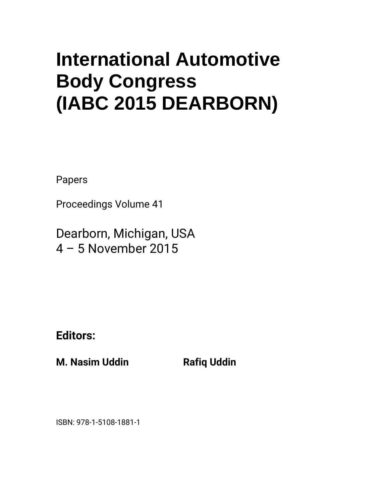## **International Automotive Body Congress (IABC 2015 DEARBORN)**

Papers

Proceedings Volume 41

Dearborn, Michigan, USA 4 – 5 November 2015

**Editors:** 

**M. Nasim Uddin Billion Rafiq Uddin** 

ISBN: 978-1-5108-1881-1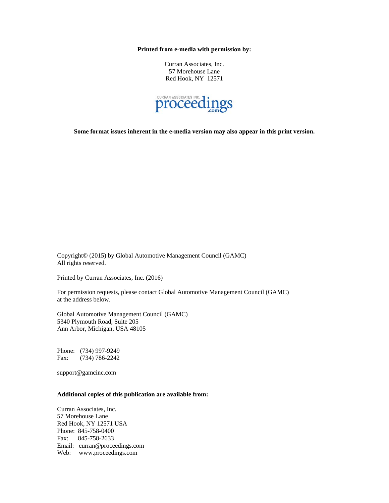**Printed from e-media with permission by:** 

Curran Associates, Inc. 57 Morehouse Lane Red Hook, NY 12571



**Some format issues inherent in the e-media version may also appear in this print version.** 

Copyright© (2015) by Global Automotive Management Council (GAMC) All rights reserved.

Printed by Curran Associates, Inc. (2016)

For permission requests, please contact Global Automotive Management Council (GAMC) at the address below.

Global Automotive Management Council (GAMC) 5340 Plymouth Road, Suite 205 Ann Arbor, Michigan, USA 48105

Phone: (734) 997-9249 Fax: (734) 786-2242

support@gamcinc.com

## **Additional copies of this publication are available from:**

Curran Associates, Inc. 57 Morehouse Lane Red Hook, NY 12571 USA Phone: 845-758-0400 Fax: 845-758-2633 Email: curran@proceedings.com Web: www.proceedings.com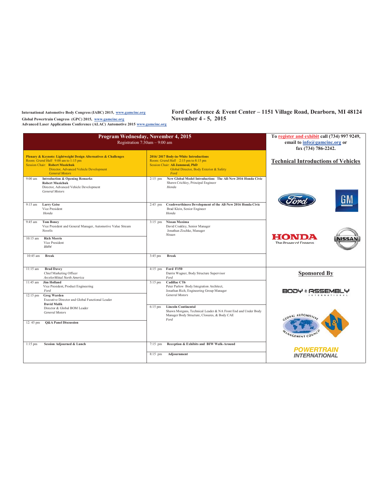International Automotive Body Congress (IABC) 2015, www.gamcinc.org

Global Powertrain Congress (GPC) 2015, www.gamcine.org<br>Advanced Laser Applications Conference (ALAC) Automotive 2015 www.gamcine.org

Ford Conference & Event Center - 1151 Village Road, Dearborn, MI 48124 November 4 - 5, 2015

|                                  | Program Wednesday, November 4, 2015<br>Registration 7:30am - 9:00 am                                                                                                                                                                                                                                                                                         | To register and exhibit call (734) 997 9249,<br>email to info@gamcinc.org or<br>fax (734) 786-2242. |                                                                                                                                                                                                                                                                                  |                                            |
|----------------------------------|--------------------------------------------------------------------------------------------------------------------------------------------------------------------------------------------------------------------------------------------------------------------------------------------------------------------------------------------------------------|-----------------------------------------------------------------------------------------------------|----------------------------------------------------------------------------------------------------------------------------------------------------------------------------------------------------------------------------------------------------------------------------------|--------------------------------------------|
| 9:00 am                          | Plenary & Keynote: Lightweight Design Alternatives & Challenges<br>Room: Grand Hall 9:00 am to 1:15 pm<br><b>Session Chair: Robert Muzichuk</b><br>Director, Advanced Vehicle Development<br><b>General Motors</b><br><b>Introduction &amp; Opening Remarks</b><br><b>Robert Muzichuk</b><br>Director, Advanced Vehicle Development<br><b>General Motors</b> | $2:15$ pm                                                                                           | 2016/2017 Body-in-White Introductions<br>Room: Grand Hall 2:15 pm to 8:15 pm<br>Session Chair: Ali Jammoul, PhD<br>Global Director, Body Exterior & Safety<br>Ford<br>New Global Model Introduction: The All-New 2016 Honda Civic<br>Shawn Crichley, Principal Engineer<br>Honda | <b>Technical Introductions of Vehicles</b> |
| $9:15$ am                        | <b>Larry Geise</b><br>Vice President<br>Honda                                                                                                                                                                                                                                                                                                                | $2:45$ pm                                                                                           | Crashworthiness Development of the All-New 2016 Honda Civic<br>Brad Klein, Senior Engineer<br>Honda                                                                                                                                                                              |                                            |
| $9:45$ am<br>$10:15$ am          | <b>Tom Boney</b><br>Vice President and General Manager, Automotive Value Stream<br><b>Novelis</b><br><b>Rich Morris</b><br>Vice President<br><b>BMW</b>                                                                                                                                                                                                      | $3:15$ pm                                                                                           | Nissan Maxima<br>David Coakley, Senior Manager<br>Jonathan Zischke, Manager<br>Nissan                                                                                                                                                                                            | номі<br>The Power of Dreams                |
| 10:45 am                         | <b>Break</b>                                                                                                                                                                                                                                                                                                                                                 | 3:45 pm                                                                                             | <b>Break</b>                                                                                                                                                                                                                                                                     |                                            |
| $11:15$ am                       | <b>Brad Davey</b><br>Chief Marketing Officer<br>ArcelorMittal North America                                                                                                                                                                                                                                                                                  | $4:15$ pm                                                                                           | Ford F150<br>Darrin Wagner, Body Structure Supervisor<br>Ford                                                                                                                                                                                                                    | <b>Sponsored By</b>                        |
| $11:45$ am<br>$12:15 \text{ pm}$ | <b>Jim Holland</b><br>Vice President, Product Engineering<br>Ford<br><b>Greg Warden</b><br>Executive Director and Global Functional Leader                                                                                                                                                                                                                   | $5:15$ pm                                                                                           | <b>Cadillac CT6</b><br>Peter Parlow Body Integration Architect,<br>Jonathan Rich, Engineering Group Manager<br><b>General Motors</b>                                                                                                                                             | BODY & ASSEN                               |
| 12:45 pm                         | <b>David Malik</b><br>Director & Global BOM Leader<br><b>General Motors</b><br><b>O&amp;A Panel Discussion</b>                                                                                                                                                                                                                                               | $6:15$ pm                                                                                           | <b>Lincoln Continental</b><br>Shawn Morgans, Technical Leader & NA Front End and Under Body<br>Manager Body Structure, Closures, & Body CAE<br>Ford                                                                                                                              | LOBAL AUTOMOTIVE<br>ANAGEMENT COUNCY       |
| $1:15$ pm                        | Session Adjourned & Lunch                                                                                                                                                                                                                                                                                                                                    | $7:15$ pm<br>$8:15$ pm                                                                              | Reception & Exhibits and BIW Walk-Around<br>Adjournment                                                                                                                                                                                                                          | <b>POWERTRAIN</b><br><b>INTERNATIONAL</b>  |